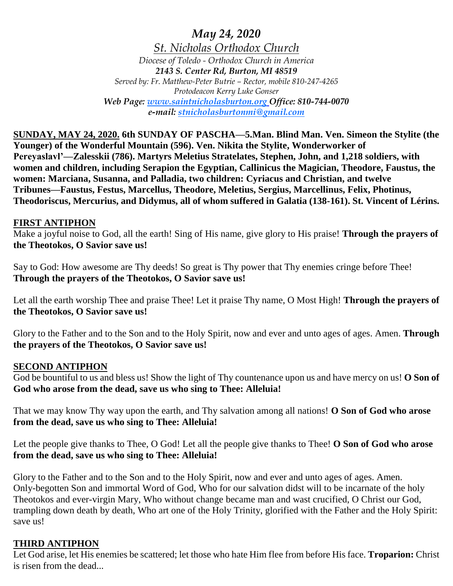*May 24, 2020 St. Nicholas Orthodox Church Diocese of Toledo - Orthodox Church in America 2143 S. Center Rd, Burton, MI 48519 Served by: Fr. Matthew-Peter Butrie – Rector, mobile 810-247-4265 Protodeacon Kerry Luke Gonser Web Page: www.saintnicholasburton.org Office: 810-744-0070 e-mail: stnicholasburtonmi@gmail.com*

**SUNDAY, MAY 24, 2020. 6th SUNDAY OF PASCHA—5.Man. Blind Man. Ven. Simeon the Stylite (the Younger) of the Wonderful Mountain (596). Ven. Nikita the Stylite, Wonderworker of Pereyaslavl'—Zalesskii (786). Martyrs Meletius Stratelates, Stephen, John, and 1,218 soldiers, with women and children, including Serapion the Egyptian, Callinicus the Magician, Theodore, Faustus, the women: Marciana, Susanna, and Palladia, two children: Cyriacus and Christian, and twelve Tribunes—Faustus, Festus, Marcellus, Theodore, Meletius, Sergius, Marcellinus, Felix, Photinus, Theodoriscus, Mercurius, and Didymus, all of whom suffered in Galatia (138-161). St. Vincent of Lérins.**

### **FIRST ANTIPHON**

Make a joyful noise to God, all the earth! Sing of His name, give glory to His praise! **Through the prayers of the Theotokos, O Savior save us!**

Say to God: How awesome are Thy deeds! So great is Thy power that Thy enemies cringe before Thee! **Through the prayers of the Theotokos, O Savior save us!**

Let all the earth worship Thee and praise Thee! Let it praise Thy name, O Most High! **Through the prayers of the Theotokos, O Savior save us!**

Glory to the Father and to the Son and to the Holy Spirit, now and ever and unto ages of ages. Amen. **Through the prayers of the Theotokos, O Savior save us!**

#### **SECOND ANTIPHON**

God be bountiful to us and bless us! Show the light of Thy countenance upon us and have mercy on us! **O Son of God who arose from the dead, save us who sing to Thee: Alleluia!**

That we may know Thy way upon the earth, and Thy salvation among all nations! **O Son of God who arose from the dead, save us who sing to Thee: Alleluia!**

Let the people give thanks to Thee, O God! Let all the people give thanks to Thee! **O Son of God who arose from the dead, save us who sing to Thee: Alleluia!**

Glory to the Father and to the Son and to the Holy Spirit, now and ever and unto ages of ages. Amen. Only-begotten Son and immortal Word of God, Who for our salvation didst will to be incarnate of the holy Theotokos and ever-virgin Mary, Who without change became man and wast crucified, O Christ our God, trampling down death by death, Who art one of the Holy Trinity, glorified with the Father and the Holy Spirit: save us!

#### **THIRD ANTIPHON**

Let God arise, let His enemies be scattered; let those who hate Him flee from before His face. **Troparion:** Christ is risen from the dead...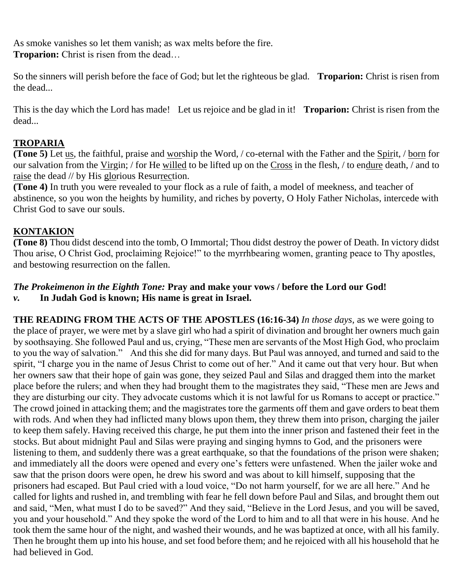As smoke vanishes so let them vanish; as wax melts before the fire. **Troparion:** Christ is risen from the dead...

So the sinners will perish before the face of God; but let the righteous be glad. **Troparion:** Christ is risen from the dead...

This is the day which the Lord has made! Let us rejoice and be glad in it! **Troparion:** Christ is risen from the dead...

# **TROPARIA**

**(Tone 5)** Let us, the faithful, praise and worship the Word, / co-eternal with the Father and the Spirit, / born for our salvation from the Virgin; / for He willed to be lifted up on the Cross in the flesh, / to endure death, / and to raise the dead // by His glorious Resurrection.

**(Tone 4)** In truth you were revealed to your flock as a rule of faith, a model of meekness, and teacher of abstinence, so you won the heights by humility, and riches by poverty, O Holy Father Nicholas, intercede with Christ God to save our souls.

## **KONTAKION**

**(Tone 8)** Thou didst descend into the tomb, O Immortal; Thou didst destroy the power of Death. In victory didst Thou arise, O Christ God, proclaiming Rejoice!" to the myrrhbearing women, granting peace to Thy apostles, and bestowing resurrection on the fallen.

# *The Prokeimenon in the Eighth Tone:* **Pray and make your vows / before the Lord our God!**

# *v.* **In Judah God is known; His name is great in Israel.**

**THE READING FROM THE ACTS OF THE APOSTLES (16:16-34)** *In those days,* as we were going to the place of prayer, we were met by a slave girl who had a spirit of divination and brought her owners much gain by soothsaying. She followed Paul and us, crying, "These men are servants of the Most High God, who proclaim to you the way of salvation." And this she did for many days. But Paul was annoyed, and turned and said to the spirit, "I charge you in the name of Jesus Christ to come out of her." And it came out that very hour. But when her owners saw that their hope of gain was gone, they seized Paul and Silas and dragged them into the market place before the rulers; and when they had brought them to the magistrates they said, "These men are Jews and they are disturbing our city. They advocate customs which it is not lawful for us Romans to accept or practice." The crowd joined in attacking them; and the magistrates tore the garments off them and gave orders to beat them with rods. And when they had inflicted many blows upon them, they threw them into prison, charging the jailer to keep them safely. Having received this charge, he put them into the inner prison and fastened their feet in the stocks. But about midnight Paul and Silas were praying and singing hymns to God, and the prisoners were listening to them, and suddenly there was a great earthquake, so that the foundations of the prison were shaken; and immediately all the doors were opened and every one's fetters were unfastened. When the jailer woke and saw that the prison doors were open, he drew his sword and was about to kill himself, supposing that the prisoners had escaped. But Paul cried with a loud voice, "Do not harm yourself, for we are all here." And he called for lights and rushed in, and trembling with fear he fell down before Paul and Silas, and brought them out and said, "Men, what must I do to be saved?" And they said, "Believe in the Lord Jesus, and you will be saved, you and your household." And they spoke the word of the Lord to him and to all that were in his house. And he took them the same hour of the night, and washed their wounds, and he was baptized at once, with all his family. Then he brought them up into his house, and set food before them; and he rejoiced with all his household that he had believed in God.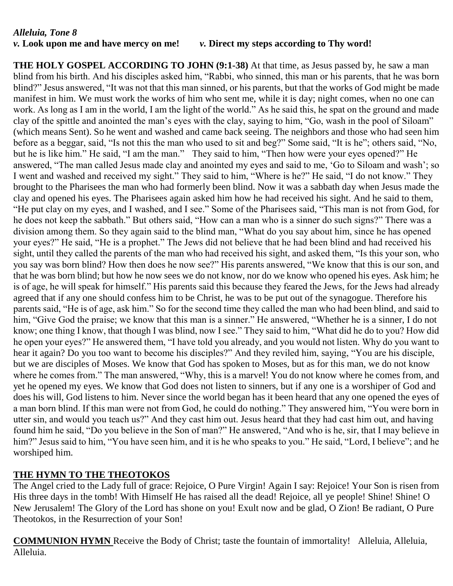### *Alleluia, Tone 8*

#### *v.* **Look upon me and have mercy on me!** *v.* **Direct my steps according to Thy word!**

**THE HOLY GOSPEL ACCORDING TO JOHN (9:1-38)** At that time, as Jesus passed by, he saw a man blind from his birth. And his disciples asked him, "Rabbi, who sinned, this man or his parents, that he was born blind?" Jesus answered, "It was not that this man sinned, or his parents, but that the works of God might be made manifest in him. We must work the works of him who sent me, while it is day; night comes, when no one can work. As long as I am in the world, I am the light of the world." As he said this, he spat on the ground and made clay of the spittle and anointed the man's eyes with the clay, saying to him, "Go, wash in the pool of Siloam" (which means Sent). So he went and washed and came back seeing. The neighbors and those who had seen him before as a beggar, said, "Is not this the man who used to sit and beg?" Some said, "It is he"; others said, "No, but he is like him." He said, "I am the man." They said to him, "Then how were your eyes opened?" He answered, "The man called Jesus made clay and anointed my eyes and said to me, 'Go to Siloam and wash'; so I went and washed and received my sight." They said to him, "Where is he?" He said, "I do not know." They brought to the Pharisees the man who had formerly been blind. Now it was a sabbath day when Jesus made the clay and opened his eyes. The Pharisees again asked him how he had received his sight. And he said to them, "He put clay on my eyes, and I washed, and I see." Some of the Pharisees said, "This man is not from God, for he does not keep the sabbath." But others said, "How can a man who is a sinner do such signs?" There was a division among them. So they again said to the blind man, "What do you say about him, since he has opened your eyes?" He said, "He is a prophet." The Jews did not believe that he had been blind and had received his sight, until they called the parents of the man who had received his sight, and asked them, "Is this your son, who you say was born blind? How then does he now see?" His parents answered, "We know that this is our son, and that he was born blind; but how he now sees we do not know, nor do we know who opened his eyes. Ask him; he is of age, he will speak for himself." His parents said this because they feared the Jews, for the Jews had already agreed that if any one should confess him to be Christ, he was to be put out of the synagogue. Therefore his parents said, "He is of age, ask him." So for the second time they called the man who had been blind, and said to him, "Give God the praise; we know that this man is a sinner." He answered, "Whether he is a sinner, I do not know; one thing I know, that though I was blind, now I see." They said to him, "What did he do to you? How did he open your eyes?" He answered them, "I have told you already, and you would not listen. Why do you want to hear it again? Do you too want to become his disciples?" And they reviled him, saying, "You are his disciple, but we are disciples of Moses. We know that God has spoken to Moses, but as for this man, we do not know where he comes from." The man answered, "Why, this is a marvel! You do not know where he comes from, and yet he opened my eyes. We know that God does not listen to sinners, but if any one is a worshiper of God and does his will, God listens to him. Never since the world began has it been heard that any one opened the eyes of a man born blind. If this man were not from God, he could do nothing." They answered him, "You were born in utter sin, and would you teach us?" And they cast him out. Jesus heard that they had cast him out, and having found him he said, "Do you believe in the Son of man?" He answered, "And who is he, sir, that I may believe in him?" Jesus said to him, "You have seen him, and it is he who speaks to you." He said, "Lord, I believe"; and he worshiped him.

## **THE HYMN TO THE THEOTOKOS**

The Angel cried to the Lady full of grace: Rejoice, O Pure Virgin! Again I say: Rejoice! Your Son is risen from His three days in the tomb! With Himself He has raised all the dead! Rejoice, all ye people! Shine! Shine! O New Jerusalem! The Glory of the Lord has shone on you! Exult now and be glad, O Zion! Be radiant, O Pure Theotokos, in the Resurrection of your Son!

**COMMUNION HYMN** Receive the Body of Christ; taste the fountain of immortality! Alleluia, Alleluia, Alleluia.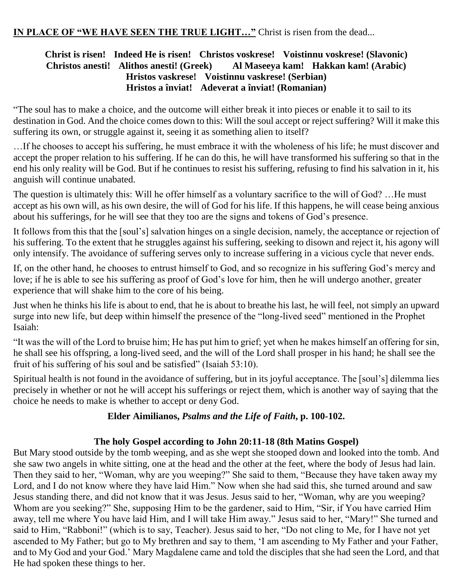## **IN PLACE OF "WE HAVE SEEN THE TRUE LIGHT..."** Christ is risen from the dead...

## **Christ is risen! Indeed He is risen! Christos voskrese! Voistinnu voskrese! (Slavonic) Christos anesti! Alithos anesti! (Greek) Al Maseeya kam! Hakkan kam! (Arabic) Hristos vaskrese! Voistinnu vaskrese! (Serbian) Hristos a înviat! Adeverat a înviat! (Romanian)**

"The soul has to make a choice, and the outcome will either break it into pieces or enable it to sail to its destination in God. And the choice comes down to this: Will the soul accept or reject suffering? Will it make this suffering its own, or struggle against it, seeing it as something alien to itself?

…If he chooses to accept his suffering, he must embrace it with the wholeness of his life; he must discover and accept the proper relation to his suffering. If he can do this, he will have transformed his suffering so that in the end his only reality will be God. But if he continues to resist his suffering, refusing to find his salvation in it, his anguish will continue unabated.

The question is ultimately this: Will he offer himself as a voluntary sacrifice to the will of God? …He must accept as his own will, as his own desire, the will of God for his life. If this happens, he will cease being anxious about his sufferings, for he will see that they too are the signs and tokens of God's presence.

It follows from this that the [soul's] salvation hinges on a single decision, namely, the acceptance or rejection of his suffering. To the extent that he struggles against his suffering, seeking to disown and reject it, his agony will only intensify. The avoidance of suffering serves only to increase suffering in a vicious cycle that never ends.

If, on the other hand, he chooses to entrust himself to God, and so recognize in his suffering God's mercy and love; if he is able to see his suffering as proof of God's love for him, then he will undergo another, greater experience that will shake him to the core of his being.

Just when he thinks his life is about to end, that he is about to breathe his last, he will feel, not simply an upward surge into new life, but deep within himself the presence of the "long-lived seed" mentioned in the Prophet Isaiah:

"It was the will of the Lord to bruise him; He has put him to grief; yet when he makes himself an offering for sin, he shall see his offspring, a long-lived seed, and the will of the Lord shall prosper in his hand; he shall see the fruit of his suffering of his soul and be satisfied" (Isaiah 53:10).

Spiritual health is not found in the avoidance of suffering, but in its joyful acceptance. The [soul's] dilemma lies precisely in whether or not he will accept his sufferings or reject them, which is another way of saying that the choice he needs to make is whether to accept or deny God.

## **Elder Aimilianos,** *Psalms and the Life of Faith***, p. 100-102.**

## **The holy Gospel according to John 20:11-18 (8th Matins Gospel)**

But Mary stood outside by the tomb weeping, and as she wept she stooped down and looked into the tomb. And she saw two angels in white sitting, one at the head and the other at the feet, where the body of Jesus had lain. Then they said to her, "Woman, why are you weeping?" She said to them, "Because they have taken away my Lord, and I do not know where they have laid Him." Now when she had said this, she turned around and saw Jesus standing there, and did not know that it was Jesus. Jesus said to her, "Woman, why are you weeping? Whom are you seeking?" She, supposing Him to be the gardener, said to Him, "Sir, if You have carried Him away, tell me where You have laid Him, and I will take Him away." Jesus said to her, "Mary!" She turned and said to Him, "Rabboni!" (which is to say, Teacher). Jesus said to her, "Do not cling to Me, for I have not yet ascended to My Father; but go to My brethren and say to them, 'I am ascending to My Father and your Father, and to My God and your God.' Mary Magdalene came and told the disciples that she had seen the Lord, and that He had spoken these things to her.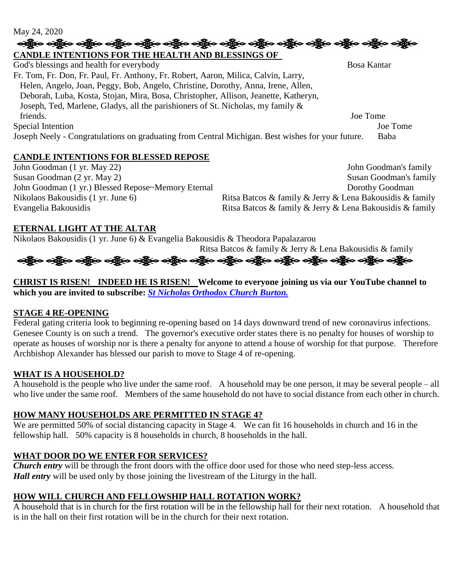| May 24, 2020                                                                                                   |  |  |  |
|----------------------------------------------------------------------------------------------------------------|--|--|--|
| ာခ်ို့မှာ ဝန်စွိမ ဝန်စွိမ် ဝန်စွိမ် ဝန်စွိမ် ဝန်စွိမ် ဝန်စွိမ် ဝန်စွမ် ဝန်စွမ် ဝန်စွမ် ဝန်စွမ် ဝန်စွမ် ဝန်စွမ် |  |  |  |
| CANDLE INTENTIONS FOR THE HEALTH AND RLESSINGS OF                                                              |  |  |  |

| God's blessings and health for everybody<br>Bosa Kantar                                          |          |  |
|--------------------------------------------------------------------------------------------------|----------|--|
| Fr. Tom, Fr. Don, Fr. Paul, Fr. Anthony, Fr. Robert, Aaron, Milica, Calvin, Larry,               |          |  |
| Helen, Angelo, Joan, Peggy, Bob, Angelo, Christine, Dorothy, Anna, Irene, Allen,                 |          |  |
| Deborah, Luba, Kosta, Stojan, Mira, Bosa, Christopher, Allison, Jeanette, Katheryn,              |          |  |
| Joseph, Ted, Marlene, Gladys, all the parishioners of St. Nicholas, my family $\&$               |          |  |
| friends.                                                                                         | Joe Tome |  |
| Special Intention                                                                                | Joe Tome |  |
| Joseph Neely - Congratulations on graduating from Central Michigan. Best wishes for your future. |          |  |

**CANDLE INTENTIONS FOR BLESSED REPOSE**

John Goodman (1 yr. May 22) John Goodman's family John Goodman (1 yr.) Blessed Repose~Memory Eternal Dorothy Goodman

Susan Goodman (2 yr. May 2) Susan Goodman's family Nikolaos Bakousidis (1 yr. June 6) Ritsa Batcos & family & Jerry & Lena Bakousidis & family Evangelia Bakousidis & family Evangelia Bakousidis & family Ritsa Batcos & family & Jerry & Lena Bakousidis & family

#### **ETERNAL LIGHT AT THE ALTAR**

Nikolaos Bakousidis (1 yr. June 6) & Evangelia Bakousidis & Theodora Papalazarou

Ritsa Batcos & family & Jerry & Lena Bakousidis & family<br>م<del>کوید</del>ه مکونه مخورد مخورد مخورد مخورد مخورد مخورد مخورد مخورد مخورد مخورد مخورد

**CHRIST IS RISEN! INDEED HE IS RISEN! Welcome to everyone joining us via our YouTube channel to which you are invited to subscribe:** *[St Nicholas Orthodox Church Burton.](https://www.youtube.com/channel/UC59tV-Re443z-GCoETAUvfA)*

#### **STAGE 4 RE-OPENING**

Federal gating criteria look to beginning re-opening based on 14 days downward trend of new coronavirus infections. Genesee County is on such a trend. The governor's executive order states there is no penalty for houses of worship to operate as houses of worship nor is there a penalty for anyone to attend a house of worship for that purpose. Therefore Archbishop Alexander has blessed our parish to move to Stage 4 of re-opening.

#### **WHAT IS A HOUSEHOLD?**

A household is the people who live under the same roof. A household may be one person, it may be several people – all who live under the same roof. Members of the same household do not have to social distance from each other in church.

#### **HOW MANY HOUSEHOLDS ARE PERMITTED IN STAGE 4?**

We are permitted 50% of social distancing capacity in Stage 4. We can fit 16 households in church and 16 in the fellowship hall. 50% capacity is 8 households in church, 8 households in the hall.

#### **WHAT DOOR DO WE ENTER FOR SERVICES?**

*Church entry* will be through the front doors with the office door used for those who need step-less access. *Hall entry* will be used only by those joining the livestream of the Liturgy in the hall.

### **HOW WILL CHURCH AND FELLOWSHIP HALL ROTATION WORK?**

A household that is in church for the first rotation will be in the fellowship hall for their next rotation. A household that is in the hall on their first rotation will be in the church for their next rotation.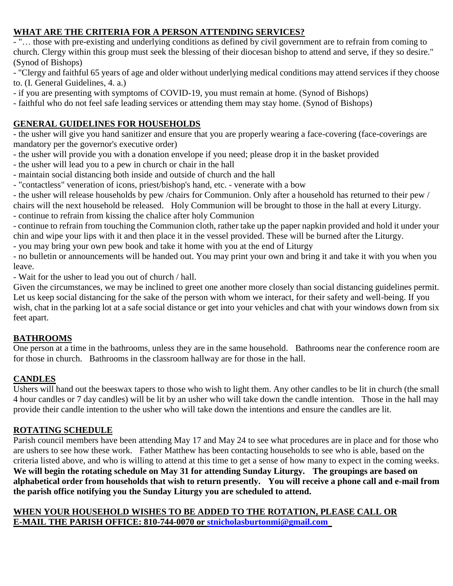## **WHAT ARE THE CRITERIA FOR A PERSON ATTENDING SERVICES?**

- "... those with pre-existing and underlying conditions as defined by civil government are to refrain from coming to church. Clergy within this group must seek the blessing of their diocesan bishop to attend and serve, if they so desire." (Synod of Bishops)

- "Clergy and faithful 65 years of age and older without underlying medical conditions may attend services if they choose to. (I. General Guidelines, 4. a.)

- if you are presenting with symptoms of COVID-19, you must remain at home. (Synod of Bishops)

- faithful who do not feel safe leading services or attending them may stay home. (Synod of Bishops)

## **GENERAL GUIDELINES FOR HOUSEHOLDS**

- the usher will give you hand sanitizer and ensure that you are properly wearing a face-covering (face-coverings are mandatory per the governor's executive order)

- the usher will provide you with a donation envelope if you need; please drop it in the basket provided
- the usher will lead you to a pew in church or chair in the hall
- maintain social distancing both inside and outside of church and the hall
- "contactless" veneration of icons, priest/bishop's hand, etc. venerate with a bow

- the usher will release households by pew /chairs for Communion. Only after a household has returned to their pew /

chairs will the next household be released. Holy Communion will be brought to those in the hall at every Liturgy.

- continue to refrain from kissing the chalice after holy Communion

- continue to refrain from touching the Communion cloth, rather take up the paper napkin provided and hold it under your chin and wipe your lips with it and then place it in the vessel provided. These will be burned after the Liturgy.

- you may bring your own pew book and take it home with you at the end of Liturgy

- no bulletin or announcements will be handed out. You may print your own and bring it and take it with you when you leave.

- Wait for the usher to lead you out of church / hall.

Given the circumstances, we may be inclined to greet one another more closely than social distancing guidelines permit. Let us keep social distancing for the sake of the person with whom we interact, for their safety and well-being. If you wish, chat in the parking lot at a safe social distance or get into your vehicles and chat with your windows down from six feet apart.

### **BATHROOMS**

One person at a time in the bathrooms, unless they are in the same household. Bathrooms near the conference room are for those in church. Bathrooms in the classroom hallway are for those in the hall.

### **CANDLES**

Ushers will hand out the beeswax tapers to those who wish to light them. Any other candles to be lit in church (the small 4 hour candles or 7 day candles) will be lit by an usher who will take down the candle intention. Those in the hall may provide their candle intention to the usher who will take down the intentions and ensure the candles are lit.

#### **ROTATING SCHEDULE**

Parish council members have been attending May 17 and May 24 to see what procedures are in place and for those who are ushers to see how these work. Father Matthew has been contacting households to see who is able, based on the criteria listed above, and who is willing to attend at this time to get a sense of how many to expect in the coming weeks. **We will begin the rotating schedule on May 31 for attending Sunday Liturgy. The groupings are based on alphabetical order from households that wish to return presently. You will receive a phone call and e-mail from the parish office notifying you the Sunday Liturgy you are scheduled to attend.**

#### **WHEN YOUR HOUSEHOLD WISHES TO BE ADDED TO THE ROTATION, PLEASE CALL OR E-MAIL THE PARISH OFFICE: 810-744-0070 or [stnicholasburtonmi@gmail.com](mailto:stnicholasburtonmi@gmail.com)**